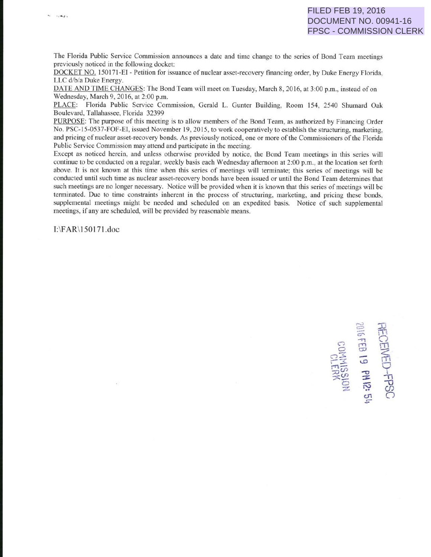The Florida Public Service Commission announces a date and time change to the series of Bond Team meetings previously noticed in the following docket:

DOCKET NO. 150171-EI - Petition for issuance of nuclear asset-recovery financing order, by Duke Energy Florida, LLC d/b/a Duke Energy.

DATE AND TIME CHANGES: The Bond Team will meet on Tuesday, March 8, 2016, at 3:00 p.m., instead of on Wednesday, March 9, 2016. at 2:00 p.m.

PLACE: Florida Public Service Commission, Gerald L. Gunter Building, Room 154, 2540 Shumard Oak Boulevard, Tallahassee, Florida 32399

PURPOSE: The purpose of this meeting is to allow members of the Bond Team, as authorized by Financing Order No. PSC-15-0537-FOF-EI, issued November 19, 2015, to work cooperatively to establish the structuring, marketing, and pricing of nuclear asset-recovery bonds. As previously noticed, one or more of the Commissioners of the Florida Public Service Commission may attend and participate in the meeting.

Except as noticed herein, and unless otherwise provided by notice, the Bond Team meetings in this series will continue to be conducted on a regular, weekly basis each Wednesday aftemoon at 2:00 p.m., at the location set forth above. It is not known at this time when this series of meetings will terminate; this series of meetings will be conducted until such time as nuclear asset-recovery bonds have been issued or until the Bond Team determines that such meetings are no longer necessary. Notice will be provided when it is known that this series of meetings will be terminated. Due to time constraints inherent in the process of structuring, marketing, and pricing these bonds, supplemental meetings might be needed and scheduled on an expedited basis. Notice of such supplemental <sup>m</sup>eetings, if any are scheduled, will be provided by reasonable means.

1:\FAR\ 150 171.doc

 $, \cong$   $\mathbb{R}$  $\circ$   $\frac{1}{2}$   $\frac{1}{2}$ 8 B 四  $\frac{1}{\sqrt{2}}$   $\frac{1}{\sqrt{2}}$   $\frac{1}{\sqrt{2}}$  $\sim$  10.  $\overline{v}$ : $\sigma$  $\frac{1}{20}$   $\frac{1}{2}$   $\frac{1}{1}$ *0*  $\approx$   $\frac{5}{2}$  $\sigma$   $\subset$ .::-